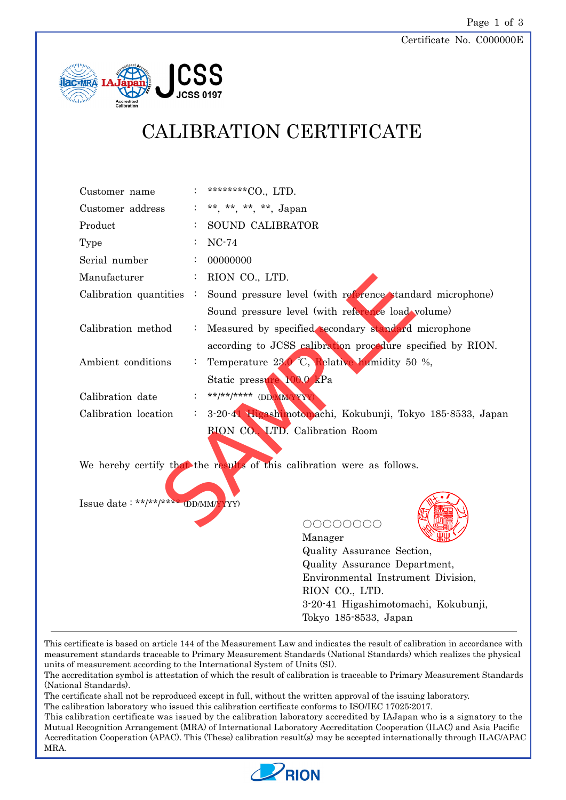Certificate No. C000000E



# CALIBRATION CERTIFICATE

| Customer name                      |                | ********CO., LTD.                                                       |
|------------------------------------|----------------|-------------------------------------------------------------------------|
| Customer address                   |                | **, **, **, **, Japan                                                   |
| Product                            |                | SOUND CALIBRATOR                                                        |
| Type                               |                | $NC-74$                                                                 |
| Serial number                      |                | 00000000                                                                |
| Manufacturer                       | $\ddot{\cdot}$ | RION CO., LTD.                                                          |
| Calibration quantities             | $\mathbb{R}^2$ | Sound pressure level (with reference standard microphone)               |
|                                    |                | Sound pressure level (with reference load volume)                       |
| Calibration method                 | $\ddot{\cdot}$ | Measured by specified secondary standard microphone                     |
|                                    |                | according to JCSS calibration procedure specified by RION.              |
| Ambient conditions                 |                | Temperature 23.0 °C, Relative humidity 50 %,                            |
|                                    |                | Static pressure 100.0 kPa                                               |
| Calibration date                   |                | **/**/***** (DD/MMYYY)                                                  |
| Calibration location               |                | 3-20-4 Higashimotomachi, Kokubunji, Tokyo 185-8533, Japan               |
|                                    |                | RION CO., LTD. Calibration Room                                         |
|                                    |                |                                                                         |
|                                    |                | We hereby certify that the results of this calibration were as follows. |
|                                    |                |                                                                         |
| Issue date: **/**/**** (DD/MM/YYY) |                |                                                                         |
|                                    |                |                                                                         |
|                                    |                | 00000000<br>Manager                                                     |
|                                    |                | Quality Assurance Section                                               |

Quality Assurance Section, Quality Assurance Department, Environmental Instrument Division, RION CO., LTD. 3-20-41 Higashimotomachi, Kokubunji, Tokyo 185-8533, Japan

This certificate is based on article 144 of the Measurement Law and indicates the result of calibration in accordance with measurement standards traceable to Primary Measurement Standards (National Standards) which realizes the physical units of measurement according to the International System of Units (SI).

The accreditation symbol is attestation of which the result of calibration is traceable to Primary Measurement Standards (National Standards).

The certificate shall not be reproduced except in full, without the written approval of the issuing laboratory.

The calibration laboratory who issued this calibration certificate conforms to ISO/IEC 17025:2017.

This calibration certificate was issued by the calibration laboratory accredited by IAJapan who is a signatory to the Mutual Recognition Arrangement (MRA) of International Laboratory Accreditation Cooperation (ILAC) and Asia Pacific Accreditation Cooperation (APAC). This (These) calibration result(s) may be accepted internationally through ILAC/APAC MRA.

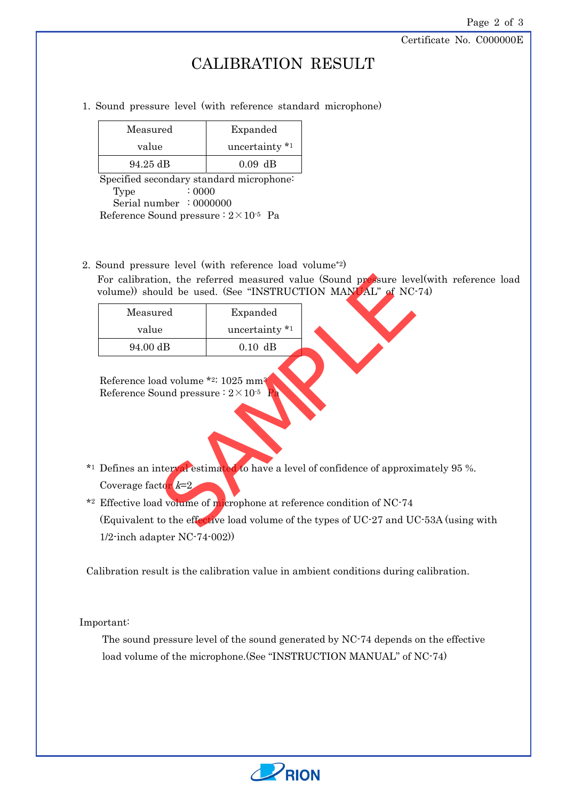Certificate No. C000000E

### CALIBRATION RESULT

1. Sound pressure level (with reference standard microphone)

| Measured | Expanded       |  |
|----------|----------------|--|
| value    | uncertainty *1 |  |
| 94.25 dB | $0.09$ dB      |  |

Specified secondary standard microphone:  $Type$  : 0000 Serial number : 0000000 Reference Sound pressure  $: 2 \times 10^{-5}$  Pa

2. Sound pressure level (with reference load volume\*2)

For calibration, the referred measured value (Sound pressure level(with reference load volume)) should be used. (See "INSTRUCTION MANUAL" of NC-74)

| rul candiadul, die reierred measured vange wuund prosule ie<br>volume)) should be used. (See "INSTRUCTION MANUAL" of N |                |  |
|------------------------------------------------------------------------------------------------------------------------|----------------|--|
| Measured                                                                                                               | Expanded       |  |
| value                                                                                                                  | uncertainty *1 |  |
| 94.00 dB                                                                                                               | $0.10$ dB      |  |
| Reference load volume *2: 1025 mm <sup>3</sup><br>Reference Sound pressure : $2 \times 10^{-5}$ Pa                     |                |  |
| Defines an interval estimated to have a level of confidence of appro                                                   |                |  |
| Coverage factor $k=2$                                                                                                  |                |  |
| Effective load volume of microphone at reference condition of NC-7                                                     |                |  |
| (Equivalent to the effective load volume of the types of UC-27 and I                                                   |                |  |
|                                                                                                                        |                |  |

\*1 Defines an interval estimated to have a level of confidence of approximately 95 %. Coverage factor  $k=2$ 

\*2 Effective load volume of microphone at reference condition of NC-74 (Equivalent to the effective load volume of the types of UC-27 and UC-53A (using with 1/2-inch adapter NC-74-002))

Calibration result is the calibration value in ambient conditions during calibration.

Important:

The sound pressure level of the sound generated by NC-74 depends on the effective load volume of the microphone. (See "INSTRUCTION MANUAL" of NC-74)